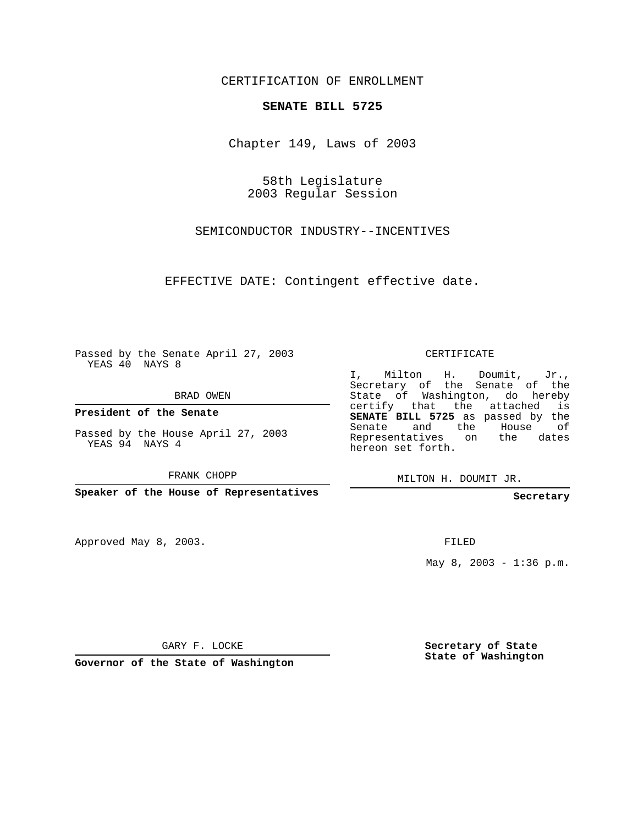CERTIFICATION OF ENROLLMENT

## **SENATE BILL 5725**

Chapter 149, Laws of 2003

58th Legislature 2003 Regular Session

SEMICONDUCTOR INDUSTRY--INCENTIVES

EFFECTIVE DATE: Contingent effective date.

Passed by the Senate April 27, 2003 YEAS 40 NAYS 8

BRAD OWEN

**President of the Senate**

Passed by the House April 27, 2003 YEAS 94 NAYS 4

FRANK CHOPP

**Speaker of the House of Representatives**

Approved May 8, 2003.

CERTIFICATE

I, Milton H. Doumit, Jr., Secretary of the Senate of the State of Washington, do hereby certify that the attached is **SENATE BILL 5725** as passed by the Senate and the House of Representatives on the dates hereon set forth.

MILTON H. DOUMIT JR.

## **Secretary**

FILED

May  $8, 2003 - 1:36 p.m.$ 

GARY F. LOCKE

**Governor of the State of Washington**

**Secretary of State State of Washington**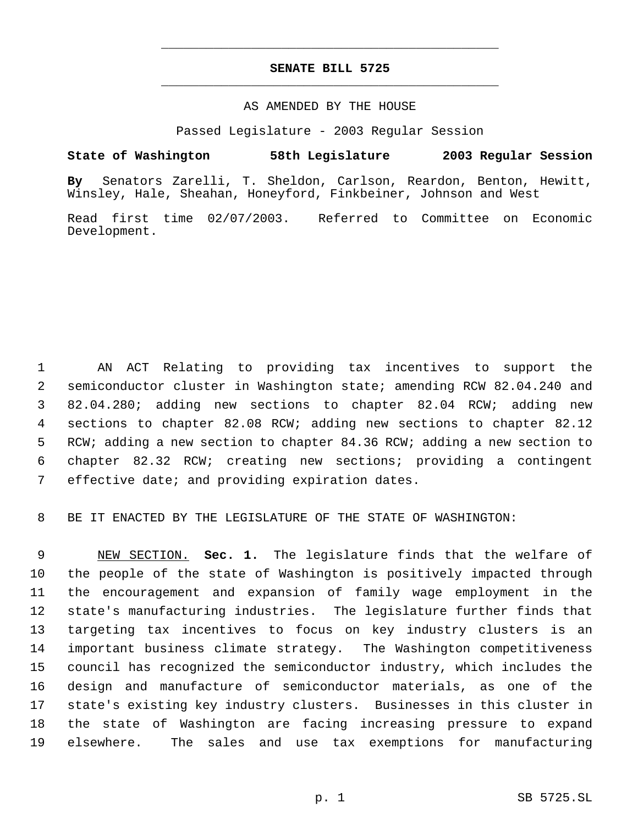## **SENATE BILL 5725** \_\_\_\_\_\_\_\_\_\_\_\_\_\_\_\_\_\_\_\_\_\_\_\_\_\_\_\_\_\_\_\_\_\_\_\_\_\_\_\_\_\_\_\_\_

\_\_\_\_\_\_\_\_\_\_\_\_\_\_\_\_\_\_\_\_\_\_\_\_\_\_\_\_\_\_\_\_\_\_\_\_\_\_\_\_\_\_\_\_\_

## AS AMENDED BY THE HOUSE

Passed Legislature - 2003 Regular Session

**State of Washington 58th Legislature 2003 Regular Session**

**By** Senators Zarelli, T. Sheldon, Carlson, Reardon, Benton, Hewitt, Winsley, Hale, Sheahan, Honeyford, Finkbeiner, Johnson and West

Read first time 02/07/2003. Referred to Committee on Economic Development.

 AN ACT Relating to providing tax incentives to support the semiconductor cluster in Washington state; amending RCW 82.04.240 and 82.04.280; adding new sections to chapter 82.04 RCW; adding new sections to chapter 82.08 RCW; adding new sections to chapter 82.12 RCW; adding a new section to chapter 84.36 RCW; adding a new section to chapter 82.32 RCW; creating new sections; providing a contingent effective date; and providing expiration dates.

BE IT ENACTED BY THE LEGISLATURE OF THE STATE OF WASHINGTON:

 NEW SECTION. **Sec. 1.** The legislature finds that the welfare of the people of the state of Washington is positively impacted through the encouragement and expansion of family wage employment in the state's manufacturing industries. The legislature further finds that targeting tax incentives to focus on key industry clusters is an important business climate strategy. The Washington competitiveness council has recognized the semiconductor industry, which includes the design and manufacture of semiconductor materials, as one of the state's existing key industry clusters. Businesses in this cluster in the state of Washington are facing increasing pressure to expand elsewhere. The sales and use tax exemptions for manufacturing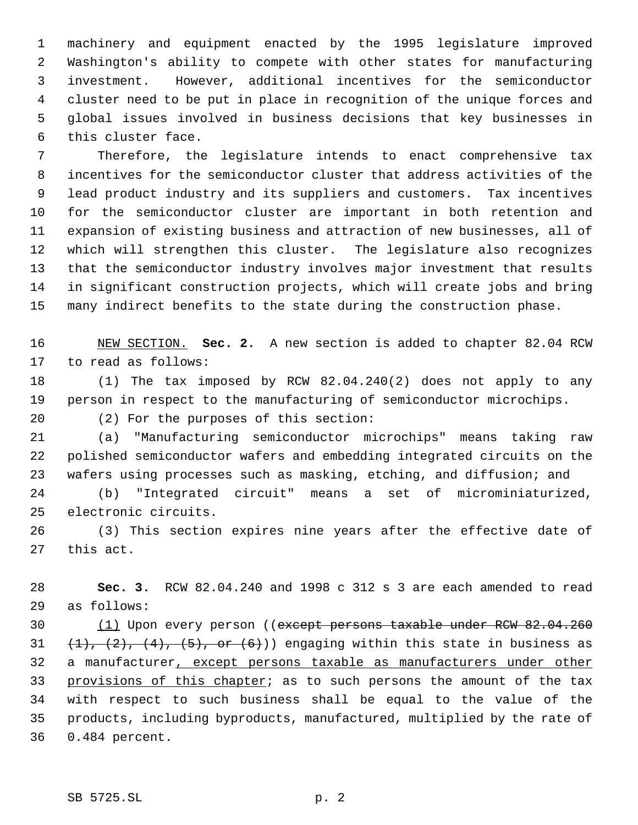machinery and equipment enacted by the 1995 legislature improved Washington's ability to compete with other states for manufacturing investment. However, additional incentives for the semiconductor cluster need to be put in place in recognition of the unique forces and global issues involved in business decisions that key businesses in this cluster face.

 Therefore, the legislature intends to enact comprehensive tax incentives for the semiconductor cluster that address activities of the lead product industry and its suppliers and customers. Tax incentives for the semiconductor cluster are important in both retention and expansion of existing business and attraction of new businesses, all of which will strengthen this cluster. The legislature also recognizes that the semiconductor industry involves major investment that results in significant construction projects, which will create jobs and bring many indirect benefits to the state during the construction phase.

 NEW SECTION. **Sec. 2.** A new section is added to chapter 82.04 RCW to read as follows:

 (1) The tax imposed by RCW 82.04.240(2) does not apply to any person in respect to the manufacturing of semiconductor microchips.

(2) For the purposes of this section:

 (a) "Manufacturing semiconductor microchips" means taking raw polished semiconductor wafers and embedding integrated circuits on the wafers using processes such as masking, etching, and diffusion; and

 (b) "Integrated circuit" means a set of microminiaturized, electronic circuits.

 (3) This section expires nine years after the effective date of this act.

 **Sec. 3.** RCW 82.04.240 and 1998 c 312 s 3 are each amended to read as follows:

 (1) Upon every person ((except persons taxable under RCW 82.04.260  $(1)$ ,  $(2)$ ,  $(4)$ ,  $(5)$ , or  $(6)$ )) engaging within this state in business as a manufacturer, except persons taxable as manufacturers under other 33 provisions of this chapter; as to such persons the amount of the tax with respect to such business shall be equal to the value of the products, including byproducts, manufactured, multiplied by the rate of 0.484 percent.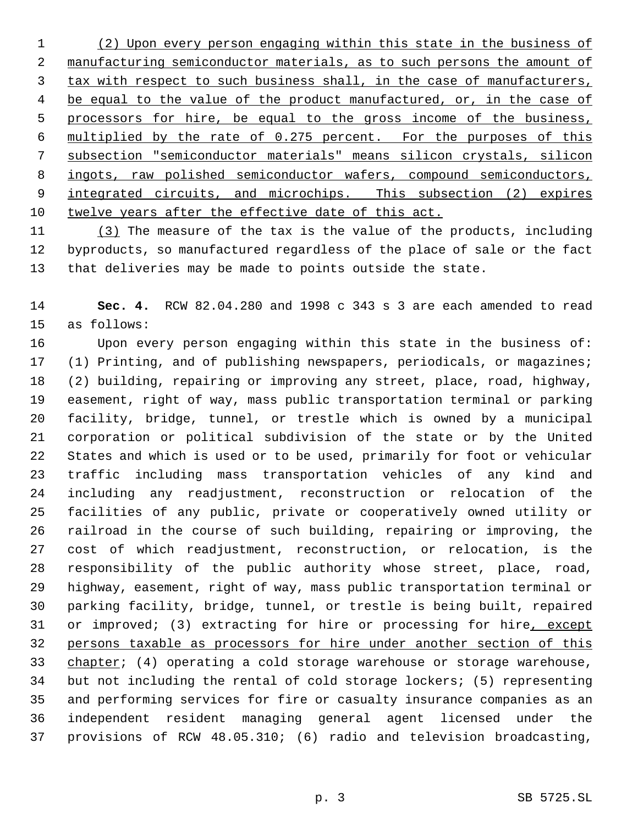(2) Upon every person engaging within this state in the business of manufacturing semiconductor materials, as to such persons the amount of tax with respect to such business shall, in the case of manufacturers, 4 be equal to the value of the product manufactured, or, in the case of 5 processors for hire, be equal to the gross income of the business, multiplied by the rate of 0.275 percent. For the purposes of this subsection "semiconductor materials" means silicon crystals, silicon 8 ingots, raw polished semiconductor wafers, compound semiconductors, 9 integrated circuits, and microchips. This subsection (2) expires twelve years after the effective date of this act.

 (3) The measure of the tax is the value of the products, including byproducts, so manufactured regardless of the place of sale or the fact that deliveries may be made to points outside the state.

 **Sec. 4.** RCW 82.04.280 and 1998 c 343 s 3 are each amended to read as follows:

 Upon every person engaging within this state in the business of: (1) Printing, and of publishing newspapers, periodicals, or magazines; (2) building, repairing or improving any street, place, road, highway, easement, right of way, mass public transportation terminal or parking facility, bridge, tunnel, or trestle which is owned by a municipal corporation or political subdivision of the state or by the United States and which is used or to be used, primarily for foot or vehicular traffic including mass transportation vehicles of any kind and including any readjustment, reconstruction or relocation of the facilities of any public, private or cooperatively owned utility or railroad in the course of such building, repairing or improving, the cost of which readjustment, reconstruction, or relocation, is the responsibility of the public authority whose street, place, road, highway, easement, right of way, mass public transportation terminal or parking facility, bridge, tunnel, or trestle is being built, repaired 31 or improved; (3) extracting for hire or processing for hire, except persons taxable as processors for hire under another section of this 33 chapter; (4) operating a cold storage warehouse or storage warehouse, but not including the rental of cold storage lockers; (5) representing and performing services for fire or casualty insurance companies as an independent resident managing general agent licensed under the provisions of RCW 48.05.310; (6) radio and television broadcasting,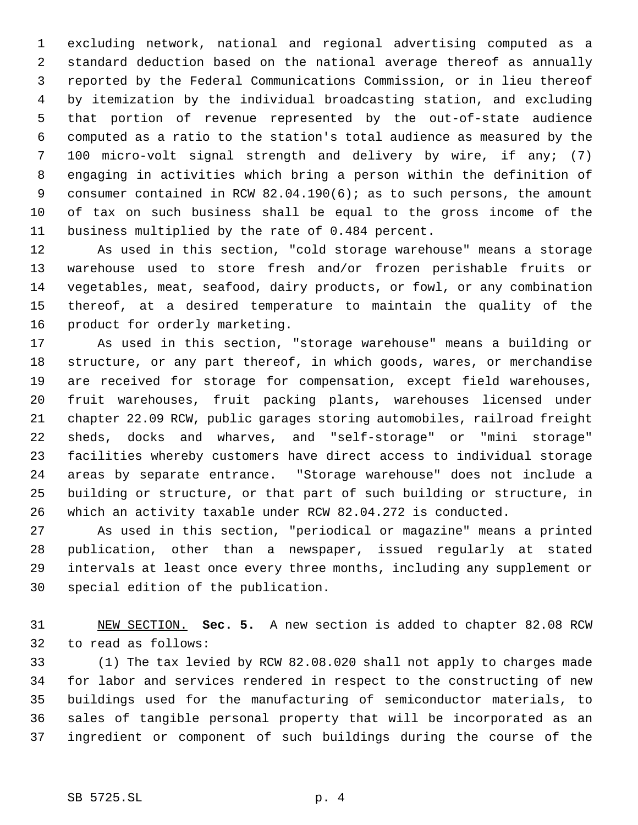excluding network, national and regional advertising computed as a standard deduction based on the national average thereof as annually reported by the Federal Communications Commission, or in lieu thereof by itemization by the individual broadcasting station, and excluding that portion of revenue represented by the out-of-state audience computed as a ratio to the station's total audience as measured by the 100 micro-volt signal strength and delivery by wire, if any; (7) engaging in activities which bring a person within the definition of consumer contained in RCW 82.04.190(6); as to such persons, the amount of tax on such business shall be equal to the gross income of the business multiplied by the rate of 0.484 percent.

 As used in this section, "cold storage warehouse" means a storage warehouse used to store fresh and/or frozen perishable fruits or vegetables, meat, seafood, dairy products, or fowl, or any combination thereof, at a desired temperature to maintain the quality of the product for orderly marketing.

 As used in this section, "storage warehouse" means a building or structure, or any part thereof, in which goods, wares, or merchandise are received for storage for compensation, except field warehouses, fruit warehouses, fruit packing plants, warehouses licensed under chapter 22.09 RCW, public garages storing automobiles, railroad freight sheds, docks and wharves, and "self-storage" or "mini storage" facilities whereby customers have direct access to individual storage areas by separate entrance. "Storage warehouse" does not include a building or structure, or that part of such building or structure, in which an activity taxable under RCW 82.04.272 is conducted.

 As used in this section, "periodical or magazine" means a printed publication, other than a newspaper, issued regularly at stated intervals at least once every three months, including any supplement or special edition of the publication.

 NEW SECTION. **Sec. 5.** A new section is added to chapter 82.08 RCW to read as follows:

 (1) The tax levied by RCW 82.08.020 shall not apply to charges made for labor and services rendered in respect to the constructing of new buildings used for the manufacturing of semiconductor materials, to sales of tangible personal property that will be incorporated as an ingredient or component of such buildings during the course of the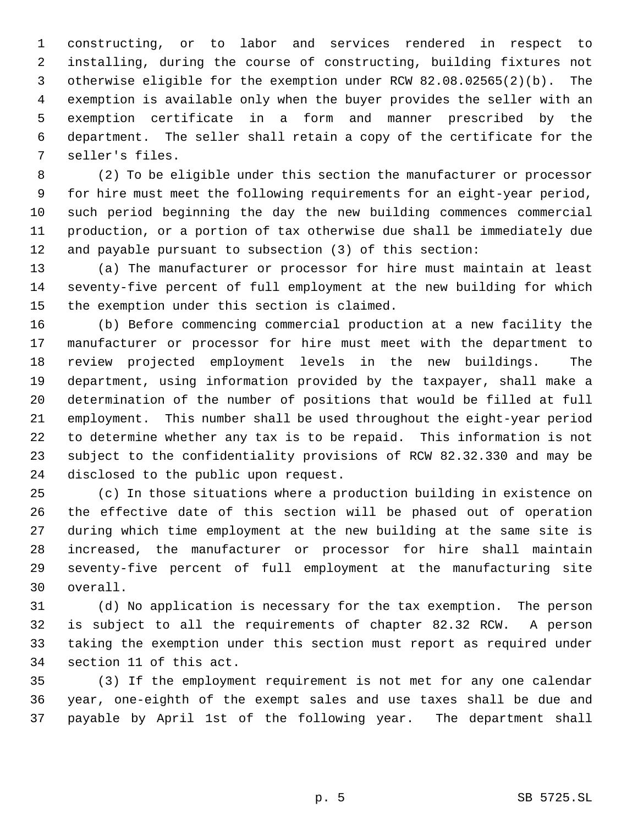constructing, or to labor and services rendered in respect to installing, during the course of constructing, building fixtures not otherwise eligible for the exemption under RCW 82.08.02565(2)(b). The exemption is available only when the buyer provides the seller with an exemption certificate in a form and manner prescribed by the department. The seller shall retain a copy of the certificate for the seller's files.

 (2) To be eligible under this section the manufacturer or processor for hire must meet the following requirements for an eight-year period, such period beginning the day the new building commences commercial production, or a portion of tax otherwise due shall be immediately due and payable pursuant to subsection (3) of this section:

 (a) The manufacturer or processor for hire must maintain at least seventy-five percent of full employment at the new building for which the exemption under this section is claimed.

 (b) Before commencing commercial production at a new facility the manufacturer or processor for hire must meet with the department to review projected employment levels in the new buildings. The department, using information provided by the taxpayer, shall make a determination of the number of positions that would be filled at full employment. This number shall be used throughout the eight-year period to determine whether any tax is to be repaid. This information is not subject to the confidentiality provisions of RCW 82.32.330 and may be disclosed to the public upon request.

 (c) In those situations where a production building in existence on the effective date of this section will be phased out of operation during which time employment at the new building at the same site is increased, the manufacturer or processor for hire shall maintain seventy-five percent of full employment at the manufacturing site overall.

 (d) No application is necessary for the tax exemption. The person is subject to all the requirements of chapter 82.32 RCW. A person taking the exemption under this section must report as required under section 11 of this act.

 (3) If the employment requirement is not met for any one calendar year, one-eighth of the exempt sales and use taxes shall be due and payable by April 1st of the following year. The department shall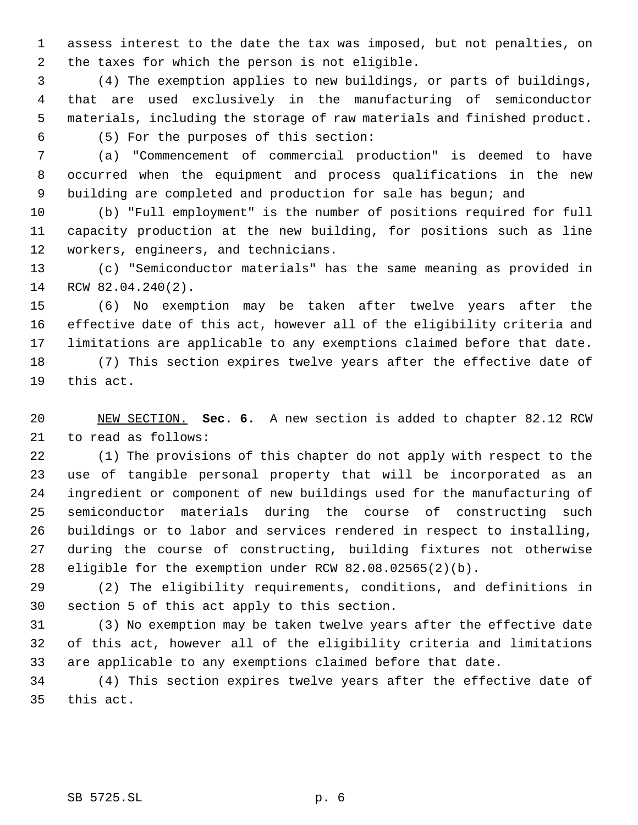assess interest to the date the tax was imposed, but not penalties, on the taxes for which the person is not eligible.

 (4) The exemption applies to new buildings, or parts of buildings, that are used exclusively in the manufacturing of semiconductor materials, including the storage of raw materials and finished product. (5) For the purposes of this section:

 (a) "Commencement of commercial production" is deemed to have occurred when the equipment and process qualifications in the new building are completed and production for sale has begun; and

 (b) "Full employment" is the number of positions required for full capacity production at the new building, for positions such as line workers, engineers, and technicians.

 (c) "Semiconductor materials" has the same meaning as provided in RCW 82.04.240(2).

 (6) No exemption may be taken after twelve years after the effective date of this act, however all of the eligibility criteria and limitations are applicable to any exemptions claimed before that date.

 (7) This section expires twelve years after the effective date of this act.

 NEW SECTION. **Sec. 6.** A new section is added to chapter 82.12 RCW to read as follows:

 (1) The provisions of this chapter do not apply with respect to the use of tangible personal property that will be incorporated as an ingredient or component of new buildings used for the manufacturing of semiconductor materials during the course of constructing such buildings or to labor and services rendered in respect to installing, during the course of constructing, building fixtures not otherwise eligible for the exemption under RCW 82.08.02565(2)(b).

 (2) The eligibility requirements, conditions, and definitions in section 5 of this act apply to this section.

 (3) No exemption may be taken twelve years after the effective date of this act, however all of the eligibility criteria and limitations are applicable to any exemptions claimed before that date.

 (4) This section expires twelve years after the effective date of this act.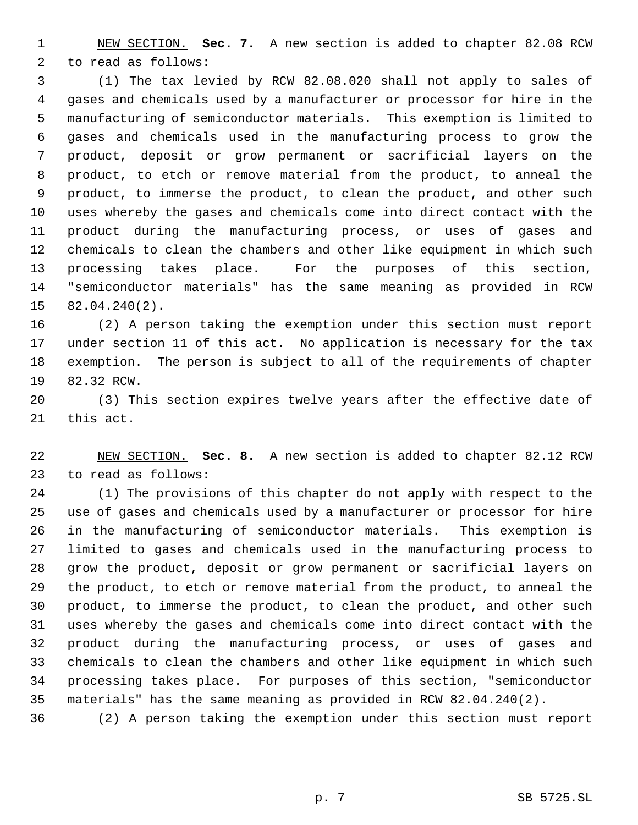NEW SECTION. **Sec. 7.** A new section is added to chapter 82.08 RCW to read as follows:

 (1) The tax levied by RCW 82.08.020 shall not apply to sales of gases and chemicals used by a manufacturer or processor for hire in the manufacturing of semiconductor materials. This exemption is limited to gases and chemicals used in the manufacturing process to grow the product, deposit or grow permanent or sacrificial layers on the product, to etch or remove material from the product, to anneal the product, to immerse the product, to clean the product, and other such uses whereby the gases and chemicals come into direct contact with the product during the manufacturing process, or uses of gases and chemicals to clean the chambers and other like equipment in which such processing takes place. For the purposes of this section, "semiconductor materials" has the same meaning as provided in RCW 82.04.240(2).

 (2) A person taking the exemption under this section must report under section 11 of this act. No application is necessary for the tax exemption. The person is subject to all of the requirements of chapter 82.32 RCW.

 (3) This section expires twelve years after the effective date of this act.

 NEW SECTION. **Sec. 8.** A new section is added to chapter 82.12 RCW to read as follows:

 (1) The provisions of this chapter do not apply with respect to the use of gases and chemicals used by a manufacturer or processor for hire in the manufacturing of semiconductor materials. This exemption is limited to gases and chemicals used in the manufacturing process to grow the product, deposit or grow permanent or sacrificial layers on the product, to etch or remove material from the product, to anneal the product, to immerse the product, to clean the product, and other such uses whereby the gases and chemicals come into direct contact with the product during the manufacturing process, or uses of gases and chemicals to clean the chambers and other like equipment in which such processing takes place. For purposes of this section, "semiconductor materials" has the same meaning as provided in RCW 82.04.240(2).

(2) A person taking the exemption under this section must report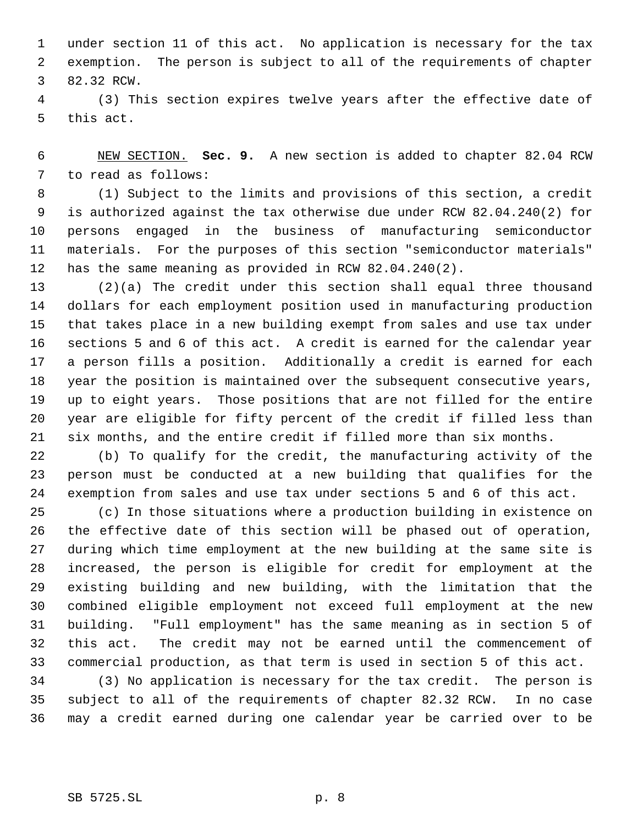under section 11 of this act. No application is necessary for the tax exemption. The person is subject to all of the requirements of chapter 82.32 RCW.

 (3) This section expires twelve years after the effective date of this act.

 NEW SECTION. **Sec. 9.** A new section is added to chapter 82.04 RCW to read as follows:

 (1) Subject to the limits and provisions of this section, a credit is authorized against the tax otherwise due under RCW 82.04.240(2) for persons engaged in the business of manufacturing semiconductor materials. For the purposes of this section "semiconductor materials" has the same meaning as provided in RCW 82.04.240(2).

 (2)(a) The credit under this section shall equal three thousand dollars for each employment position used in manufacturing production that takes place in a new building exempt from sales and use tax under sections 5 and 6 of this act. A credit is earned for the calendar year a person fills a position. Additionally a credit is earned for each year the position is maintained over the subsequent consecutive years, up to eight years. Those positions that are not filled for the entire year are eligible for fifty percent of the credit if filled less than six months, and the entire credit if filled more than six months.

 (b) To qualify for the credit, the manufacturing activity of the person must be conducted at a new building that qualifies for the exemption from sales and use tax under sections 5 and 6 of this act.

 (c) In those situations where a production building in existence on the effective date of this section will be phased out of operation, during which time employment at the new building at the same site is increased, the person is eligible for credit for employment at the existing building and new building, with the limitation that the combined eligible employment not exceed full employment at the new building. "Full employment" has the same meaning as in section 5 of this act. The credit may not be earned until the commencement of commercial production, as that term is used in section 5 of this act.

 (3) No application is necessary for the tax credit. The person is subject to all of the requirements of chapter 82.32 RCW. In no case may a credit earned during one calendar year be carried over to be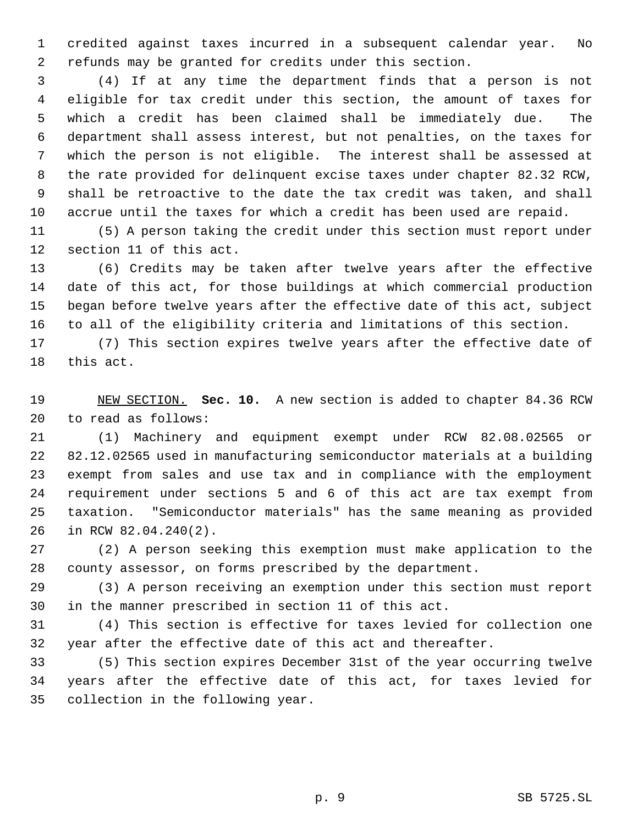credited against taxes incurred in a subsequent calendar year. No refunds may be granted for credits under this section.

 (4) If at any time the department finds that a person is not eligible for tax credit under this section, the amount of taxes for which a credit has been claimed shall be immediately due. The department shall assess interest, but not penalties, on the taxes for which the person is not eligible. The interest shall be assessed at the rate provided for delinquent excise taxes under chapter 82.32 RCW, shall be retroactive to the date the tax credit was taken, and shall accrue until the taxes for which a credit has been used are repaid.

 (5) A person taking the credit under this section must report under section 11 of this act.

 (6) Credits may be taken after twelve years after the effective date of this act, for those buildings at which commercial production began before twelve years after the effective date of this act, subject to all of the eligibility criteria and limitations of this section.

 (7) This section expires twelve years after the effective date of this act.

 NEW SECTION. **Sec. 10.** A new section is added to chapter 84.36 RCW to read as follows:

 (1) Machinery and equipment exempt under RCW 82.08.02565 or 82.12.02565 used in manufacturing semiconductor materials at a building exempt from sales and use tax and in compliance with the employment requirement under sections 5 and 6 of this act are tax exempt from taxation. "Semiconductor materials" has the same meaning as provided in RCW 82.04.240(2).

 (2) A person seeking this exemption must make application to the county assessor, on forms prescribed by the department.

 (3) A person receiving an exemption under this section must report in the manner prescribed in section 11 of this act.

 (4) This section is effective for taxes levied for collection one year after the effective date of this act and thereafter.

 (5) This section expires December 31st of the year occurring twelve years after the effective date of this act, for taxes levied for collection in the following year.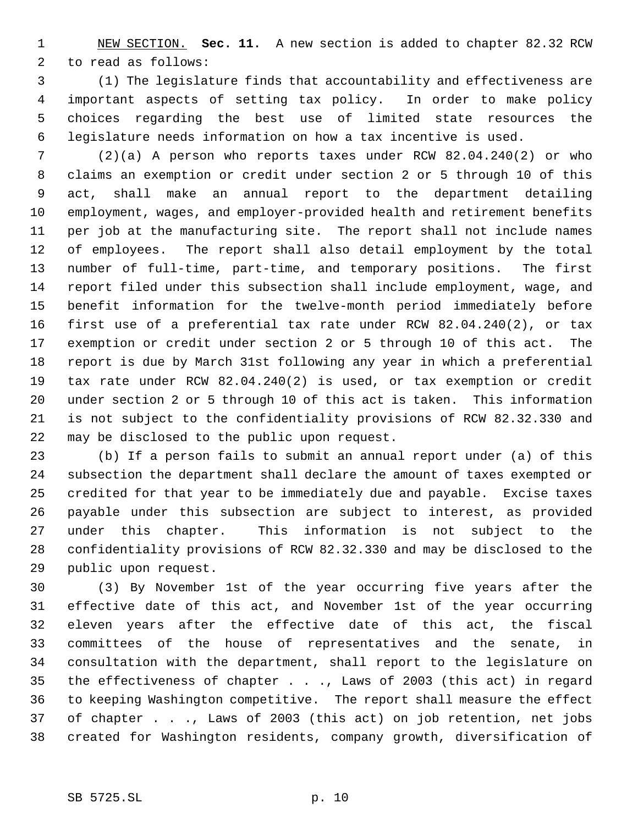NEW SECTION. **Sec. 11.** A new section is added to chapter 82.32 RCW to read as follows:

 (1) The legislature finds that accountability and effectiveness are important aspects of setting tax policy. In order to make policy choices regarding the best use of limited state resources the legislature needs information on how a tax incentive is used.

 (2)(a) A person who reports taxes under RCW 82.04.240(2) or who claims an exemption or credit under section 2 or 5 through 10 of this act, shall make an annual report to the department detailing employment, wages, and employer-provided health and retirement benefits per job at the manufacturing site. The report shall not include names of employees. The report shall also detail employment by the total number of full-time, part-time, and temporary positions. The first report filed under this subsection shall include employment, wage, and benefit information for the twelve-month period immediately before first use of a preferential tax rate under RCW 82.04.240(2), or tax exemption or credit under section 2 or 5 through 10 of this act. The report is due by March 31st following any year in which a preferential tax rate under RCW 82.04.240(2) is used, or tax exemption or credit under section 2 or 5 through 10 of this act is taken. This information is not subject to the confidentiality provisions of RCW 82.32.330 and may be disclosed to the public upon request.

 (b) If a person fails to submit an annual report under (a) of this subsection the department shall declare the amount of taxes exempted or credited for that year to be immediately due and payable. Excise taxes payable under this subsection are subject to interest, as provided under this chapter. This information is not subject to the confidentiality provisions of RCW 82.32.330 and may be disclosed to the public upon request.

 (3) By November 1st of the year occurring five years after the effective date of this act, and November 1st of the year occurring eleven years after the effective date of this act, the fiscal committees of the house of representatives and the senate, in consultation with the department, shall report to the legislature on the effectiveness of chapter . . ., Laws of 2003 (this act) in regard to keeping Washington competitive. The report shall measure the effect of chapter . . ., Laws of 2003 (this act) on job retention, net jobs created for Washington residents, company growth, diversification of